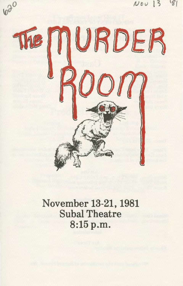$Nov$  $3$ 



620

November 13-21, 1981 Subal Theatre 8:15p.m.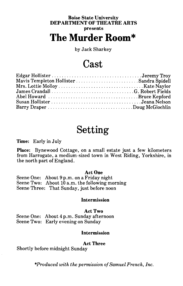### **Boise State University DEPARTMENT OF THEATRE ARTS presents The Murder Room\***

by Jack Sharkey

### **Cast**

| Mavis Templeton Hollister Sandra Spidell |  |
|------------------------------------------|--|
|                                          |  |
|                                          |  |
|                                          |  |
|                                          |  |
| Barry Draper Doug McGlochlin             |  |

### **Setting**

#### **Time:** Early in July

**Place:** Bynewood Cottage, on a small estate just a few kilometers from Harrogate, a medium-sized town in West Riding, Yorkshire, in the north part of England.

#### **Act One**

Scene One: About 9 p.m. on a Friday night Scene Two: About  $10$  a.m. the following morning Scene Three: That Sunday, just before noon

#### **Intermission**

#### **Act Two**

Scene One: About 4 p.m. Sunday afternoon Scene Two: Early evening on Sunday

#### **Intermission**

#### **Act Three**

Shortly before midnight Sunday

*\*Produced with the permission of Samuel French, Inc.*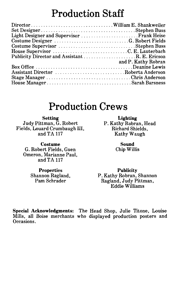### **Production Staff**

| Publicity Director and Assistant R. E. Ericson |                     |
|------------------------------------------------|---------------------|
|                                                | and P. Kathy Robran |
| Box Office Deanine Lewis                       |                     |
| Assistant Director Roberta Anderson            |                     |
| Stage Manager Chris Anderson                   |                     |
|                                                |                     |

### **Production Crews**

**Setting**  Judy Pittman, G. Robert Fields, Louard Crumbaugh III, and TA 117

**Costume**  G. Robert Fields, Guen Omeron, Marianne Paul, and TA 117

> **Properties**  Shannon Ragland, Pam Schrader

**Lighting**  P. Kathy Robran, Head Richard Shields, Kathy Waugh

> **Sound**  Chip Willis

**Publicity**  P. Kathy Robran, Shannon Ragland, Judy Pittman, Eddie Williams

**Special Acknowledgments:** The Head Shop, Julie Titone, Louise Mills, all Boise merchants who displayed production posters and Occasions.